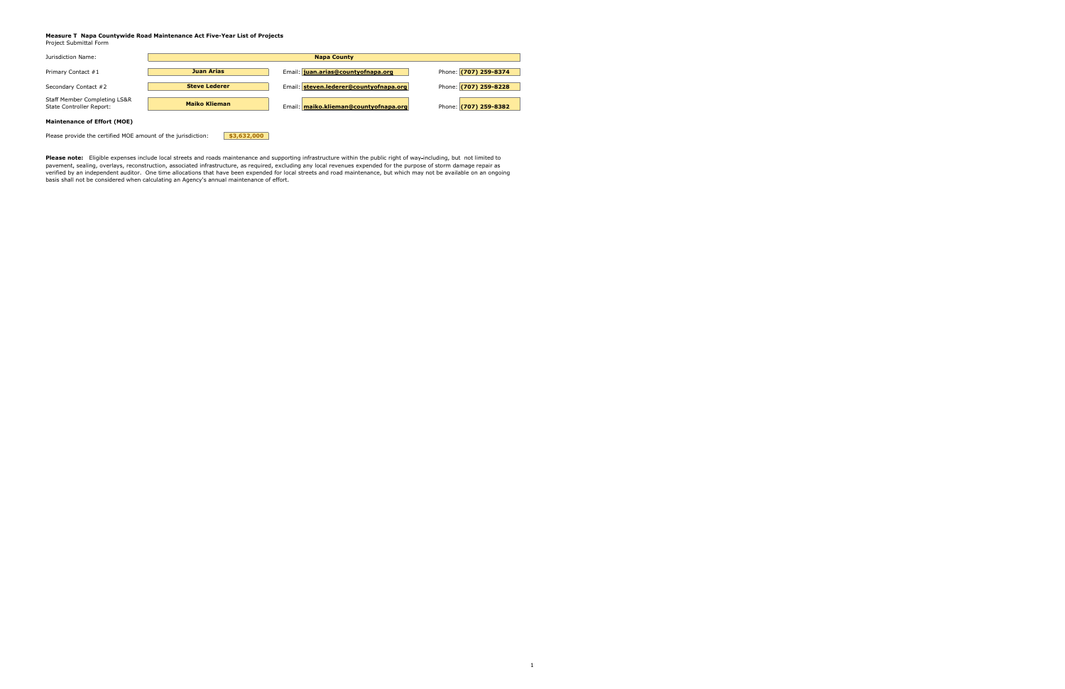## **Measure T Napa Countywide Road Maintenance Act Five-Year List of Projects**

Project Submittal Form

| Jurisdiction Name:                                                  |                      | <b>Napa County</b>                     |                       |
|---------------------------------------------------------------------|----------------------|----------------------------------------|-----------------------|
|                                                                     |                      |                                        |                       |
| Primary Contact #1                                                  | <b>Juan Arias</b>    | Email: juan.arias@countyofnapa.org     | Phone: (707) 259-8374 |
|                                                                     |                      |                                        |                       |
| Secondary Contact #2                                                | <b>Steve Lederer</b> | Email: steven.lederer@countyofnapa.org | Phone: (707) 259-8228 |
|                                                                     |                      |                                        |                       |
| <b>Staff Member Completing LS&amp;R</b><br>State Controller Report: | <b>Maiko Klieman</b> | Email: maiko.klieman@countyofnapa.org  | Phone: (707) 259-8382 |
|                                                                     |                      |                                        |                       |
| <b>Maintenance of Effort (MOE)</b>                                  |                      |                                        |                       |

Please provide the certified MOE amount of the jurisdiction: **\$3,632,000** 

**Please note:** Eligible expenses include local streets and roads maintenance and supporting infrastructure within the public right of way including, but not limited to pavement, sealing, overlays, reconstruction, associated infrastructure, as required, excluding any local revenues expended for the purpose of storm damage repair as verified by an independent auditor. One time allocations that have been expended for local streets and road maintenance, but which may not be available on an ongoing basis shall not be considered when calculating an Agency's annual maintenance of effort.

1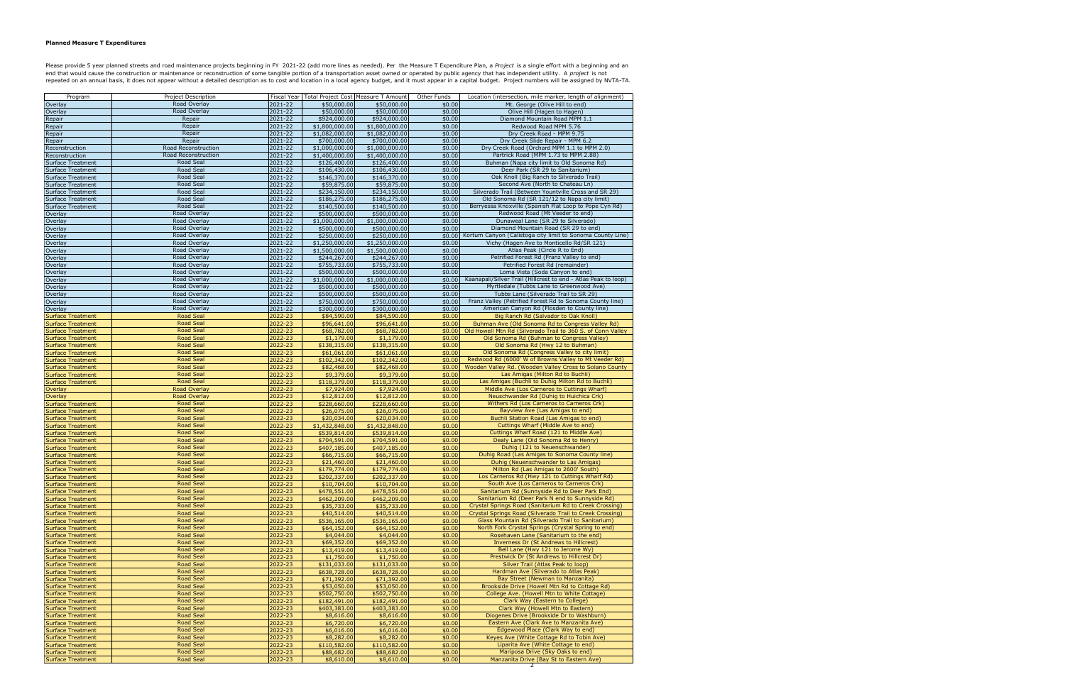## **Planned Measure T Expenditures**

Please provide 5 year planned streets and road maintenance projects beginning in FY 2021-22 (add more lines as needed). Per the Measure T Expenditure Plan, a Project is a single effort with a beginning and an end that would cause the construction or maintenance or reconstruction of some tangible portion of a transportation asset owned or operated by public agency that has independent utility. A *project* is not repeated on an annual basis, it does not appear without a detailed description as to cost and location in a local agency budget, and it must appear in a capital budget. Project numbers will be assigned by NVTA-TA.

| Program                                              | Project Description                  |                    |                             | Fiscal Year   Total Project Cost   Measure T Amount | Other Funds      | Location (intersection, mile marker, length of alignment)                                         |
|------------------------------------------------------|--------------------------------------|--------------------|-----------------------------|-----------------------------------------------------|------------------|---------------------------------------------------------------------------------------------------|
| Overlay                                              | Road Overlay                         | 2021-22            | \$50,000.00                 | \$50,000.00                                         | \$0.00           | Mt. George (Olive Hill to end)                                                                    |
| Overlay                                              | Road Overlay                         | 2021-22            | \$50,000.00                 | \$50,000.00                                         | \$0.00           | Olive Hill (Hagen to Hagen)                                                                       |
| Repair                                               | Repair                               | 2021-22            | \$924,000.00                | \$924,000.00                                        | \$0.00           | Diamond Mountain Road MPM 1.1                                                                     |
| Repair                                               | Repair                               | 2021-22            | \$1,800,000.00              | \$1,800,000.00                                      | \$0.00           | Redwood Road MPM 5.76                                                                             |
| Repair                                               | Repair                               | 2021-22            | \$1,082,000.00              | \$1,082,000.00                                      | \$0.00           | Dry Creek Road - MPM 9.75                                                                         |
| Repair                                               | Repair                               | 2021-22            | \$700,000.00                | \$700,000.00                                        | \$0.00           | Dry Creek Slide Repair - MPM 6.2                                                                  |
| Reconstruction                                       | Road Reconstruction                  | 2021-22            | \$1,000,000.00              | \$1,000,000.00                                      | \$0.00           | Dry Creek Road (Orchard MPM 1.1 to MPM 2.0)                                                       |
| Reconstruction                                       | Road Reconstruction                  | 2021-22            | \$1,400,000.00              | \$1,400,000.00                                      | \$0.00           | Partrick Road (MPM 1.73 to MPM 2.88)                                                              |
| <b>Surface Treatment</b>                             | Road Seal                            | 2021-22            | \$126,400.00                | \$126,400.00                                        | \$0.00           | Buhman (Napa city limit to Old Sonoma Rd)                                                         |
| <b>Surface Treatment</b>                             | Road Seal                            | 2021-22            | \$106,430.00                | \$106,430.00                                        | \$0.00           | Deer Park (SR 29 to Sanitarium)                                                                   |
| <b>Surface Treatment</b>                             | Road Seal                            | 2021-22            | \$146,370.00                | \$146,370.00                                        | \$0.00           | Oak Knoll (Big Ranch to Silverado Trail)                                                          |
| <b>Surface Treatment</b>                             | Road Seal                            | 2021-22            | \$59,875.00                 | \$59,875.00                                         | \$0.00           | Second Ave (North to Chateau Ln)                                                                  |
| <b>Surface Treatment</b>                             | Road Seal                            | 2021-22            | \$234,150.00                | \$234,150.00                                        | \$0.00           | Silverado Trail (Between Yountville Cross and SR 29)                                              |
| <b>Surface Treatment</b>                             | Road Seal                            | 2021-22            | \$186,275.00                | \$186,275.00                                        | \$0.00           | Old Sonoma Rd (SR 121/12 to Napa city limit)                                                      |
| <b>Surface Treatment</b>                             | Road Seal                            | 2021-22            | \$140,500.00                | \$140,500.00                                        | \$0.00           | Berryessa Knoxville (Spanish Flat Loop to Pope Cyn Rd)                                            |
| Overlay                                              | Road Overlay                         | 2021-22            | \$500,000.00                | \$500,000.00                                        | \$0.00           | Redwood Road (Mt Veeder to end)                                                                   |
| Overlay                                              | Road Overlay                         | 2021-22            | \$1,000,000.00              | \$1,000,000.00                                      | \$0.00           | Dunaweal Lane (SR 29 to Silverado)                                                                |
| Overlay                                              | Road Overlay                         | 2021-22            | \$500,000.00                | \$500,000.00                                        | \$0.00           | Diamond Mountain Road (SR 29 to end)                                                              |
| Overlay                                              | Road Overlay                         | 2021-22            | \$250,000.00                | \$250,000.00                                        | \$0.00           | Kortum Canyon (Calistoga city limit to Sonoma County Line)                                        |
| Overlay                                              | Road Overlay<br>Road Overlay         | 2021-22            | \$1,250,000.00              | \$1,250,000.00                                      | \$0.00           | Vichy (Hagen Ave to Monticello Rd/SR 121)                                                         |
| Overlay                                              | Road Overlay                         | 2021-22            | \$1,500,000.00              | \$1,500,000.00                                      | \$0.00           | Atlas Peak (Circle R to End)<br>Petrified Forest Rd (Franz Valley to end)                         |
| Overlay                                              | Road Overlay                         | 2021-22            | \$244,267.00                | \$244,267.00                                        | \$0.00           |                                                                                                   |
| Overlay                                              |                                      | 2021-22            | \$755,733.00                | \$755,733.00                                        | \$0.00           | Petrified Forest Rd (remainder)                                                                   |
| Overlay                                              | Road Overlay<br>Road Overlay         | 2021-22            | \$500,000.00                | \$500,000.00                                        | \$0.00           | Loma Vista (Soda Canyon to end)<br>Kaanapali/Silver Trail (Hillcrest to end - Atlas Peak to loop) |
| Overlay                                              |                                      | 2021-22<br>2021-22 | \$1,000,000.00              | \$1,000,000.00                                      | \$0.00           | Myrtledale (Tubbs Lane to Greenwood Ave)                                                          |
| Overlay                                              | Road Overlay<br>Road Overlay         |                    | \$500,000.00                | \$500,000.00                                        | \$0.00           |                                                                                                   |
| Overlay                                              | Road Overlay                         | 2021-22            | \$500,000.00                | \$500,000.00                                        | \$0.00           | Tubbs Lane (Silverado Trail to SR 29)<br>Franz Valley (Petrified Forest Rd to Sonoma County line) |
| Overlay                                              |                                      | 2021-22            | \$750,000.00                | \$750,000.00                                        | \$0.00           |                                                                                                   |
| Overlay                                              | Road Overlay                         | 2021-22            | \$300,000.00                | \$300,000.00                                        | \$0.00           | American Canyon Rd (Flosden to County line)                                                       |
| <b>Surface Treatment</b>                             | <b>Road Seal</b>                     | 2022-23            | \$84,590.00                 | \$84,590.00                                         | \$0.00           | Big Ranch Rd (Salvador to Oak Knoll)                                                              |
| <b>Surface Treatment</b>                             | <b>Road Seal</b><br><b>Road Seal</b> | 2022-23<br>2022-23 | \$96,641.00                 | \$96,641.00                                         | \$0.00           | Buhman Ave (Old Sonoma Rd to Congress Valley Rd)                                                  |
| <b>Surface Treatment</b>                             | <b>Road Seal</b>                     |                    | \$68,782.00                 | \$68,782.00                                         | \$0.00           | Old Howell Mtn Rd (Silverado Trail to 360 S. of Conn Valley                                       |
| <b>Surface Treatment</b>                             |                                      | 2022-23            | \$1,179.00                  | \$1,179.00                                          | \$0.00           | Old Sonoma Rd (Buhman to Congress Valley)<br>Old Sonoma Rd (Hwy 12 to Buhman)                     |
| <b>Surface Treatment</b>                             | <b>Road Seal</b>                     | 2022-23            | \$138,315.00                | \$138,315.00                                        | \$0.00           |                                                                                                   |
| <b>Surface Treatment</b>                             | <b>Road Seal</b>                     | 2022-23            | \$61,061.00                 | \$61,061.00                                         | \$0.00           | Old Sonoma Rd (Congress Valley to city limit)                                                     |
| <b>Surface Treatment</b>                             | <b>Road Seal</b>                     | 2022-23            | \$102,342.00                | \$102,342.00                                        | \$0.00           | Redwood Rd (6000' W of Browns Valley to Mt Veeder Rd)                                             |
| <b>Surface Treatment</b>                             | <b>Road Seal</b>                     | 2022-23            | \$82,468.00                 | \$82,468.00                                         | \$0.00           | Wooden Valley Rd. (Wooden Valley Cross to Solano County                                           |
| <b>Surface Treatment</b>                             | <b>Road Seal</b><br><b>Road Seal</b> | 2022-23            | \$9,379.00                  | \$9,379.00                                          | \$0.00           | Las Amigas (Milton Rd to Buchli)<br>Las Amigas (Buchli to Duhig Milton Rd to Buchli)              |
| <b>Surface Treatment</b>                             | <b>Road Overlay</b>                  | 2022-23            | \$118,379.00                | \$118,379.00                                        | \$0.00           | Middle Ave (Los Carneros to Cuttings Wharf)                                                       |
| Overlay                                              | <b>Road Overlay</b>                  | 2022-23            | \$7,924.00                  | \$7,924.00                                          | \$0.00           | Neuschwander Rd (Duhig to Huichica Crk)                                                           |
| Overlay                                              | <b>Road Seal</b>                     | 2022-23<br>2022-23 | \$12,812.00<br>\$228,660.00 | \$12,812.00<br>\$228,660.00                         | \$0.00<br>\$0.00 | Withers Rd (Los Carneros to Carneros Crk)                                                         |
| <b>Surface Treatment</b>                             | <b>Road Seal</b>                     | 2022-23            |                             |                                                     | \$0.00           | Bayview Ave (Las Amigas to end)                                                                   |
| <b>Surface Treatment</b>                             | <b>Road Seal</b>                     | 2022-23            | \$26,075.00<br>\$20,034.00  | \$26,075.00<br>\$20,034.00                          | \$0.00           | Buchli Station Road (Las Amigas to end)                                                           |
| <b>Surface Treatment</b>                             | <b>Road Seal</b>                     | 2022-23            | \$1,432,848.00              |                                                     | \$0.00           | Cuttings Wharf (Middle Ave to end)                                                                |
| <b>Surface Treatment</b>                             | <b>Road Seal</b>                     | 2022-23            | \$539,814.00                | \$1,432,848.00<br>\$539,814.00                      | \$0.00           | Cuttings Wharf Road (121 to Middle Ave)                                                           |
| <b>Surface Treatment</b><br><b>Surface Treatment</b> | <b>Road Seal</b>                     | 2022-23            | \$704,591.00                | \$704,591.00                                        | \$0.00           | Dealy Lane (Old Sonoma Rd to Henry)                                                               |
| <b>Surface Treatment</b>                             | <b>Road Seal</b>                     | 2022-23            | \$407,185.00                | \$407,185.00                                        | \$0.00           | Duhig (121 to Neuenschwander)                                                                     |
| <b>Surface Treatment</b>                             | <b>Road Seal</b>                     | 2022-23            | \$66,715.00                 | \$66,715.00                                         | \$0.00           | Duhig Road (Las Amigas to Sonoma County line)                                                     |
| <b>Surface Treatment</b>                             | <b>Road Seal</b>                     | 2022-23            | \$21,460.00                 | \$21,460.00                                         | \$0.00           | Duhig (Neuenschwander to Las Amigas)                                                              |
| <b>Surface Treatment</b>                             | <b>Road Seal</b>                     | 2022-23            | \$179,774.00                | \$179,774.00                                        | \$0.00           | Milton Rd (Las Amigas to 2600' South)                                                             |
| <b>Surface Treatment</b>                             | <b>Road Seal</b>                     | 2022-23            | \$202,337.00                | \$202,337.00                                        | \$0.00           | Los Carneros Rd (Hwy 121 to Cuttings Wharf Rd)                                                    |
| Surface Treatment                                    | <b>Road Seal</b>                     | 2022-23            | \$10,704.00                 | \$10,704.00                                         | \$0.00           | South Ave (Los Carneros to Carneros Crk)                                                          |
| Surface Treatment                                    | <b>Road Seal</b>                     | 2022-23            | \$478,551.00                | \$478,551.00                                        | \$0.00           | Sanitarium Rd (Sunnyside Rd to Deer Park End)                                                     |
| <b>Surface Treatment</b>                             | <b>Road Seal</b>                     | 2022-23            | \$462,209.00                | \$462,209.00                                        | \$0.00           | Sanitarium Rd (Deer Park N end to Sunnyside Rd)                                                   |
| <b>Surface Treatment</b>                             | <b>Road Seal</b>                     | 2022-23            | \$35,733.00                 | \$35,733.00                                         | \$0.00           | Crystal Springs Road (Sanitarium Rd to Creek Crossing)                                            |
| <b>Surface Treatment</b>                             | <b>Road Seal</b>                     | 2022-23            | \$40,514.00                 | \$40,514.00                                         | \$0.00           | Crystal Springs Road (Silverado Trail to Creek Crossing)                                          |
| <b>Surface Treatment</b>                             | <b>Road Seal</b>                     | 2022-23            | \$536,165.00                | \$536,165.00                                        | \$0.00           | Glass Mountain Rd (Silverado Trail to Sanitarium)                                                 |
| <b>Surface Treatment</b>                             | <b>Road Seal</b>                     | 2022-23            | \$64,152.00                 | \$64,152.00                                         | \$0.00           | North Fork Crystal Springs (Crystal Spring to end)                                                |
| <b>Surface Treatment</b>                             | <b>Road Seal</b>                     | 2022-23            | \$4,044.00                  | \$4,044.00                                          | \$0.00           | Rosehaven Lane (Sanitarium to the end)                                                            |
| <b>Surface Treatment</b>                             | <b>Road Seal</b>                     | 2022-23            | \$69,352.00                 | \$69,352.00                                         | \$0.00           | Inverness Dr (St Andrews to Hillcrest)                                                            |
| <b>Surface Treatment</b>                             | <b>Road Seal</b>                     | 2022-23            | \$13,419.00                 | \$13,419.00                                         | \$0.00           | Bell Lane (Hwy 121 to Jerome Wy)                                                                  |
| <b>Surface Treatment</b>                             | <b>Road Seal</b>                     | 2022-23            | \$1,750.00                  | \$1,750.00                                          | \$0.00           | Prestwick Dr (St Andrews to Hillcrest Dr)                                                         |
| <b>Surface Treatment</b>                             | <b>Road Seal</b>                     | 2022-23            | \$131,033.00                | \$131,033.00                                        | \$0.00           | Silver Trail (Atlas Peak to loop)                                                                 |
| <b>Surface Treatment</b>                             | <b>Road Seal</b>                     | 2022-23            | \$638,728.00                | \$638,728.00                                        | \$0.00           | Hardman Ave (Silverado to Atlas Peak)                                                             |
| <b>Surface Treatment</b>                             | <b>Road Seal</b>                     | 2022-23            | \$71,392.00                 | \$71,392.00                                         | \$0.00           | Bay Street (Newman to Manzanita)                                                                  |
| <b>Surface Treatment</b>                             | <b>Road Seal</b>                     | 2022-23            | \$53,050.00                 | \$53,050.00                                         | \$0.00           | Brookside Drive (Howell Mtn Rd to Cottage Rd)                                                     |
| <b>Surface Treatment</b>                             | <b>Road Seal</b>                     | 2022-23            | \$502,750.00                | \$502,750.00                                        | \$0.00           | College Ave. (Howell Mtn to White Cottage)                                                        |
| <b>Surface Treatment</b>                             | <b>Road Seal</b>                     | 2022-23            | \$182,491.00                | \$182,491.00                                        | \$0.00           | Clark Way (Eastern to College)                                                                    |
| <b>Surface Treatment</b>                             | <b>Road Seal</b>                     | 2022-23            | \$403,383.00                | \$403,383.00                                        | \$0.00           | Clark Way (Howell Mtn to Eastern)                                                                 |
| <b>Surface Treatment</b>                             | <b>Road Seal</b>                     | 2022-23            | \$8,616.00                  | \$8,616.00                                          | \$0.00           | Diogenes Drive (Brookside Dr to Washburn)                                                         |
| <b>Surface Treatment</b>                             | <b>Road Seal</b>                     | 2022-23            | \$6,720.00                  | \$6,720.00                                          | \$0.00           | Eastern Ave (Clark Ave to Manzanita Ave)                                                          |
| <b>Surface Treatment</b>                             | <b>Road Seal</b>                     | 2022-23            | \$6,016.00                  | \$6,016.00                                          | \$0.00           | Edgewood Place (Clark Way to end)                                                                 |
| <b>Surface Treatment</b>                             | <b>Road Seal</b>                     | 2022-23            | \$8,282.00                  | \$8,282.00                                          | \$0.00           | Keyes Ave (White Cottage Rd to Tobin Ave)                                                         |
| <b>Surface Treatment</b>                             | <b>Road Seal</b>                     | 2022-23            | \$110,582.00                | \$110,582.00                                        | \$0.00           | Liparita Ave (White Cottage to end)                                                               |
| <b>Surface Treatment</b>                             | <b>Road Seal</b>                     | 2022-23            | \$88,682.00                 | \$88,682.00                                         | \$0.00           | Mariposa Drive (Sky Oaks to end)                                                                  |
| <b>Surface Treatment</b>                             | <b>Road Seal</b>                     | 2022-23            | \$8,610.00                  | \$8,610.00                                          | \$0.00           | Manzanita Drive (Bay St to Eastern Ave)                                                           |
|                                                      |                                      |                    |                             |                                                     |                  | 2                                                                                                 |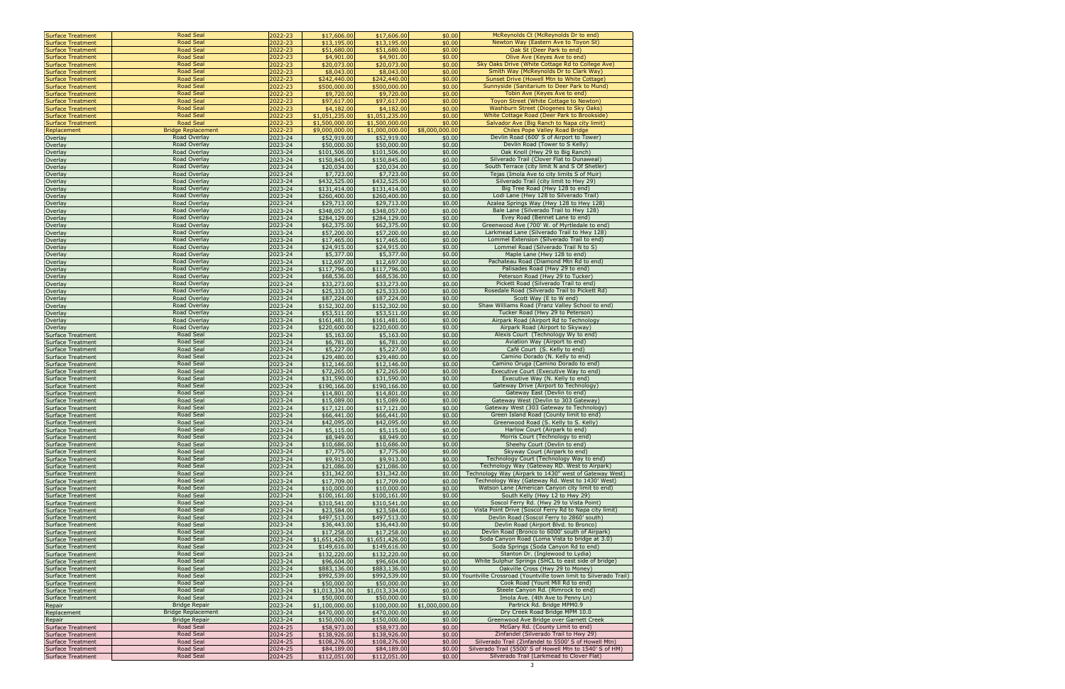| <b>Surface Treatment</b>                             | <b>Road Seal</b>                     | 2022-23            | \$17,606.00                  | \$17,606.00                  | \$0.00           | McReynolds Ct (McReynolds Dr to end)                                                                       |
|------------------------------------------------------|--------------------------------------|--------------------|------------------------------|------------------------------|------------------|------------------------------------------------------------------------------------------------------------|
| <b>Surface Treatment</b>                             | <b>Road Seal</b>                     | 2022-23            | \$13,195.00                  | \$13,195.00                  | \$0.00           | Newton Way (Eastern Ave to Toyon St)                                                                       |
| <b>Surface Treatment</b>                             | <b>Road Seal</b>                     | 2022-23            | \$51,680.00                  | \$51,680.00                  | \$0.00           | Oak St (Deer Park to end)                                                                                  |
| <b>Surface Treatment</b>                             | <b>Road Seal</b>                     | 2022-23            | \$4,901.00                   | \$4,901.00                   | \$0.00           | Olive Ave (Keyes Ave to end)                                                                               |
| <b>Surface Treatment</b>                             | <b>Road Seal</b>                     | 2022-23            | \$20,073.00                  | \$20,073.00                  | \$0.00           | Sky Oaks Drive (White Cottage Rd to College Ave)                                                           |
| <b>Surface Treatment</b>                             | <b>Road Seal</b>                     | 2022-23            | \$8,043.00                   | \$8,043.00                   | \$0.00           | Smith Way (McReynolds Dr to Clark Way)                                                                     |
| <b>Surface Treatment</b>                             | <b>Road Seal</b>                     | 2022-23            | \$242,440.00                 | \$242,440.00                 | \$0.00           | Sunset Drive (Howell Mtn to White Cottage)<br>Sunnyside (Sanitarium to Deer Park to Mund)                  |
| <b>Surface Treatment</b>                             | <b>Road Seal</b><br><b>Road Seal</b> | 2022-23<br>2022-23 | \$500,000.00                 | \$500,000.00                 | \$0.00           |                                                                                                            |
| <b>Surface Treatment</b>                             | <b>Road Seal</b>                     | 2022-23            | \$9,720.00<br>\$97,617.00    | \$9,720.00<br>\$97,617.00    | \$0.00<br>\$0.00 | Tobin Ave (Keyes Ave to end)<br>Toyon Street (White Cottage to Newton)                                     |
| <b>Surface Treatment</b><br><b>Surface Treatment</b> | <b>Road Seal</b>                     | 2022-23            | \$4,182.00                   | \$4,182.00                   | \$0.00           | Washburn Street (Diogenes to Sky Oaks)                                                                     |
| <b>Surface Treatment</b>                             | <b>Road Seal</b>                     | 2022-23            | \$1,051,235.00               | \$1,051,235.00               | \$0.00           | White Cottage Road (Deer Park to Brookside)                                                                |
| <b>Surface Treatment</b>                             | <b>Road Seal</b>                     | 2022-23            | \$1,500,000.00               | \$1,500,000.00               | \$0.00           | Salvador Ave (Big Ranch to Napa city limit)                                                                |
| Replacement                                          | <b>Bridge Replacement</b>            | 2022-23            | \$9,000,000.00               | \$1,000,000.00               | \$8,000,000.00   | Chiles Pope Valley Road Bridge                                                                             |
| Overlay                                              | Road Overlay                         | 2023-24            | \$52,919.00                  | \$52,919.00                  | \$0.00           | Devlin Road (600' S of Airport to Tower)                                                                   |
| Overlay                                              | Road Overlay                         | 2023-24            | \$50,000.00                  | \$50,000.00                  | \$0.00           | Devlin Road (Tower to S Kelly)                                                                             |
| Overlay                                              | Road Overlay                         | 2023-24            | \$101,506.00                 | \$101,506.00                 | \$0.00           | Oak Knoll (Hwy 29 to Big Ranch)                                                                            |
| Overlay                                              | Road Overlay                         | 2023-24            | \$150,845.00                 | \$150,845.00                 | \$0.00           | Silverado Trail (Clover Flat to Dunaweal)                                                                  |
| Overlay                                              | Road Overlay                         | 2023-24            | \$20,034.00                  | \$20,034.00                  | \$0.00           | South Terrace (city limit N and S Of Shetler)                                                              |
| Overlay                                              | Road Overlay                         | 2023-24            | \$7,723.00                   | \$7,723.00                   | \$0.00           | Tejas (Imola Ave to city limits S of Muir)                                                                 |
| Overlay                                              | Road Overlay                         | 2023-24            | \$432,525.00                 | \$432,525.00                 | \$0.00           | Silverado Trail (city limit to Hwy 29)                                                                     |
| Overlay                                              | Road Overlay                         | 2023-24            | \$131,414.00                 | \$131,414.00                 | \$0.00           | Big Tree Road (Hwy 128 to end)                                                                             |
| Overlay                                              | Road Overlay                         | 2023-24            | \$260,400.00                 | \$260,400.00                 | \$0.00           | Lodi Lane (Hwy 128 to Silverado Trail)                                                                     |
| Overlay                                              | Road Overlay                         | 2023-24            | \$29,713.00                  | \$29,713.00                  | \$0.00           | Azalea Springs Way (Hwy 128 to Hwy 128)                                                                    |
| Overlay                                              | Road Overlay                         | 2023-24            | \$348,057.00                 | \$348,057.00                 | \$0.00           | Bale Lane (Silverado Trail to Hwy 128)                                                                     |
| Overlay                                              | Road Overlay<br>Road Overlay         | 2023-24            | \$284,129.00                 | \$284,129.00                 | \$0.00           | Evey Road (Bennet Lane to end)<br>Greenwood Ave (700' W. of Myrtledale to end)                             |
| Overlay<br>Overlay                                   | Road Overlay                         | 2023-24<br>2023-24 | \$62,375.00<br>\$57,200.00   | \$62,375.00<br>\$57,200.00   | \$0.00<br>\$0.00 | Larkmead Lane (Silverado Trail to Hwy 128)                                                                 |
| Overlay                                              | Road Overlay                         | 2023-24            | \$17,465.00                  | \$17,465.00                  | \$0.00           | Lommel Extension (Silverado Trail to end)                                                                  |
| Overlay                                              | Road Overlay                         | 2023-24            | \$24,915.00                  | \$24,915.00                  | \$0.00           | Lommel Road (Silverado Trail N to S)                                                                       |
| Overlay                                              | Road Overlay                         | 2023-24            | \$5,377.00                   | \$5,377.00                   | \$0.00           | Maple Lane (Hwy 128 to end)                                                                                |
| Overlay                                              | Road Overlay                         | 2023-24            | \$12,697.00                  | \$12,697.00                  | \$0.00           | Pachateau Road (Diamond Mtn Rd to end)                                                                     |
| Overlay                                              | Road Overlay                         | 2023-24            | \$117,796.00                 | \$117,796.00                 | \$0.00           | Palisades Road (Hwy 29 to end)                                                                             |
| Overlay                                              | Road Overlay                         | 2023-24            | \$68,536.00                  | \$68,536.00                  | \$0.00           | Peterson Road (Hwy 29 to Tucker)                                                                           |
| Overlay                                              | Road Overlay                         | 2023-24            | \$33,273.00                  | \$33,273.00                  | \$0.00           | Pickett Road (Silverado Trail to end)                                                                      |
| Overlay                                              | Road Overlay                         | 2023-24            | \$25,333.00                  | \$25,333.00                  | \$0.00           | Rosedale Road (Silverado Trail to Pickett Rd)                                                              |
| Overlay                                              | Road Overlay                         | 2023-24            | \$87,224.00                  | \$87,224.00                  | \$0.00           | Scott Way (E to W end)                                                                                     |
| Overlay                                              | Road Overlay                         | 2023-24            | \$152,302.00                 | \$152,302.00                 | \$0.00           | Shaw Williams Road (Franz Valley School to end)                                                            |
| Overlay                                              | Road Overlay                         | 2023-24            | \$53,511.00                  | \$53,511.00                  | \$0.00           | Tucker Road (Hwy 29 to Peterson)                                                                           |
| Overlay                                              | Road Overlay                         | 2023-24            | \$161,481.00                 | \$161,481.00                 | \$0.00           | Airpark Road (Airport Rd to Technology                                                                     |
| Overlay                                              | Road Overlay                         | 2023-24            | \$220,600.00                 | \$220,600.00                 | \$0.00           | Airpark Road (Airport to Skyway)                                                                           |
| Surface Treatment                                    | Road Seal                            | 2023-24            | \$5,163.00                   | \$5,163.00                   | \$0.00           | Alexis Court (Technology Wy to end)                                                                        |
| <b>Surface Treatment</b>                             | Road Seal                            | 2023-24            | \$6,781.00                   | \$6,781.00                   | \$0.00           | Aviation Way (Airport to end)                                                                              |
| <b>Surface Treatment</b><br>Surface Treatment        | Road Seal<br>Road Seal               | 2023-24<br>2023-24 | \$5,227.00<br>\$29,480.00    | \$5,227.00<br>\$29,480.00    | \$0.00<br>\$0.00 | Café Court (S. Kelly to end)<br>Camino Dorado (N. Kelly to end)                                            |
| Surface Treatment                                    | Road Seal                            | 2023-24            | \$12,146.00                  | \$12,146.00                  | \$0.00           | Camino Oruga (Camino Dorado to end)                                                                        |
| Surface Treatment                                    | Road Seal                            | 2023-24            | \$72,265.00                  | \$72,265.00                  | \$0.00           | Executive Court (Executive Way to end)                                                                     |
| <b>Surface Treatment</b>                             | Road Seal                            | 2023-24            | \$31,590.00                  | \$31,590.00                  | \$0.00           | Executive Way (N. Kelly to end)                                                                            |
| <b>Surface Treatment</b>                             | Road Seal                            | 2023-24            | \$190,166.00                 | \$190,166.00                 | \$0.00           | Gateway Drive (Airport to Technology)                                                                      |
| <b>Surface Treatment</b>                             | Road Seal                            | 2023-24            | \$14,801.00                  | \$14,801.00                  | \$0.00           | Gateway East (Devlin to end)                                                                               |
| Surface Treatment                                    | Road Seal                            | 2023-24            | \$15,089.00                  | \$15,089.00                  | \$0.00           | Gateway West (Devlin to 303 Gateway)                                                                       |
| Surface Treatment                                    | Road Seal                            | 2023-24            | \$17,121.00                  | \$17,121.00                  | \$0.00           | Gateway West (303 Gateway to Technology)                                                                   |
| Surface Treatment                                    | Road Seal                            | 2023-24            | \$66,441.00                  | \$66,441.00                  | \$0.00           | Green Island Road (County limit to end)                                                                    |
| Surface Treatment                                    | Road Seal                            | 2023-24            | \$42,095.00                  | \$42,095.00                  | \$0.00           | Greenwood Road (S. Kelly to S. Kelly)                                                                      |
| Surface Treatment                                    | Road Seal                            | 2023-24            | \$5,115.00                   | \$5,115.00                   | \$0.00           | Harlow Court (Airpark to end)                                                                              |
| Surface Treatment                                    | Road Seal                            | 2023-24            | \$8,949.00                   | \$8,949.00                   | \$0.00           | Morris Court (Technology to end)                                                                           |
| Surface Treatment                                    | Road Seal                            | 2023-24            | \$10,686.00                  | \$10,686.00                  | \$0.00           | Sheehy Court (Devlin to end)<br>Skyway Court (Airpark to end)                                              |
| <b>Surface Treatment</b>                             | Road Seal                            | 2023-24            | \$7,775.00                   | \$7,775.00                   | \$0.00           |                                                                                                            |
| <b>Surface Treatment</b><br>Surface Treatment        | Road Seal<br>Road Seal               | 2023-24<br>2023-24 | \$9,913.00<br>\$21,086.00    | \$9,913.00<br>\$21,086.00    | \$0.00<br>\$0.00 | Technology Court (Technology Way to end)<br>Technology Way (Gateway RD. West to Airpark)                   |
| Surface Treatment                                    | Road Seal                            | 2023-24            | \$31,342.00                  | \$31,342.00                  | \$0.00           | Technology Way (Airpark to 1430" west of Gateway West)                                                     |
| Surface Treatment                                    | Road Seal                            | 2023-24            | \$17,709.00                  | \$17,709.00                  | \$0.00           | Technology Way (Gateway Rd. West to 1430' West)                                                            |
| <b>Surface Treatment</b>                             | Road Seal                            | 2023-24            | \$10,000.00                  | \$10,000.00                  | \$0.00           | Watson Lane (American Canyon city limit to end)                                                            |
| <b>Surface Treatment</b>                             | Road Seal                            | 2023-24            | \$100,161.00                 | \$100,161.00                 | \$0.00           | South Kelly (Hwy 12 to Hwy 29)                                                                             |
| Surface Treatment                                    | Road Seal                            | 2023-24            | \$310,541.00                 | \$310,541.00                 | \$0.00           | Soscol Ferry Rd. (Hwy 29 to Vista Point)                                                                   |
| Surface Treatment                                    | Road Seal                            | 2023-24            | \$23,584.00                  | \$23,584.00                  | \$0.00           | Vista Point Drive (Soscol Ferry Rd to Napa city limit)                                                     |
| Surface Treatment                                    | Road Seal                            | 2023-24            | \$497,513.00                 | \$497,513.00                 | \$0.00           | Devlin Road (Soscol Ferry to 2860' south)                                                                  |
| <b>Surface Treatment</b>                             | Road Seal                            | 2023-24            | \$36,443.00                  | \$36,443.00                  | \$0.00           | Devlin Road (Airport Blvd. to Bronco)                                                                      |
| <b>Surface Treatment</b>                             | Road Seal                            | 2023-24            | \$17,258.00                  | \$17,258.00                  | \$0.00           | Devlin Road (Bronco to 6000' south of Airpark)                                                             |
| Surface Treatment                                    | Road Seal                            | 2023-24            | \$1,651,426.00               | \$1,651,426.00               | \$0.00           | Soda Canyon Road (Loma Vista to bridge at 3.0)                                                             |
| Surface Treatment                                    | Road Seal                            | 2023-24            | \$149,616.00                 | \$149,616.00                 | \$0.00           | Soda Springs (Soda Canyon Rd to end)                                                                       |
| Surface Treatment                                    | Road Seal                            | 2023-24            | \$132,220.00                 | \$132,220.00                 | \$0.00           | Stanton Dr. (Inglewood to Lydia)                                                                           |
| <b>Surface Treatment</b>                             | Road Seal                            | 2023-24            | \$96,604.00                  | \$96,604.00                  | \$0.00           | White Sulphur Springs (SHCL to east side of bridge)                                                        |
| <b>Surface Treatment</b><br><b>Surface Treatment</b> | Road Seal<br>Road Seal               | 2023-24<br>2023-24 | \$883,136.00<br>\$992,539.00 | \$883,136.00<br>\$992,539.00 | \$0.00           | Oakville Cross (Hwy 29 to Money)<br>\$0.00 Yountville Crossroad (Yountville town limit to Silverado Trail) |
| Surface Treatment                                    | Road Seal                            | 2023-24            | \$50,000.00                  | \$50,000.00                  | \$0.00           | Cook Road (Yount Mill Rd to end)                                                                           |
| Surface Treatment                                    | Road Seal                            | 2023-24            | \$1,013,334.00               | \$1,013,334.00               | \$0.00           | Steele Canyon Rd. (Rimrock to end)                                                                         |
| Surface Treatment                                    | Road Seal                            | 2023-24            | \$50,000.00                  | \$50,000.00                  | \$0.00           | Imola Ave. (4th Ave to Penny Ln)                                                                           |
| Repair                                               | <b>Bridge Repair</b>                 | 2023-24            | \$1,100,000.00               | \$100,000.00                 | \$1,000,000.00   | Partrick Rd. Bridge MPM0.9                                                                                 |
| Replacement                                          | <b>Bridge Replacement</b>            | 2023-24            | \$470,000.00                 | \$470,000.00                 | \$0.00           | Dry Creek Road Bridge MPM 10.0                                                                             |
| Repair                                               | <b>Bridge Repair</b>                 | 2023-24            | \$150,000.00                 | \$150,000.00                 | \$0.00           | Greenwood Ave Bridge over Garnett Creek                                                                    |
| Surface Treatment                                    | Road Seal                            | 2024-25            | \$58,973.00                  | \$58,973.00                  | \$0.00           | McGary Rd. (County Limit to end)                                                                           |
| <b>Surface Treatment</b>                             | Road Seal                            | 2024-25            | \$138,926.00                 | \$138,926.00                 | \$0.00           | Zinfandel (Silverado Trail to Hwy 29)                                                                      |
| <b>Surface Treatment</b>                             | Road Seal                            | 2024-25            | \$108,276.00                 | \$108,276.00                 | \$0.00           | Silverado Trail (Zinfandel to 5500' S of Howell Mtn)                                                       |
| <b>Surface Treatment</b>                             | Road Seal                            | 2024-25            | \$84,189.00                  | \$84,189.00                  | \$0.00           | Silverado Trail (5500' S of Howell Mtn to 1540' S of HM)                                                   |
| Surface Treatment                                    | Road Seal                            | 2024-25            | \$112,051.00                 | \$112,051.00                 | \$0.00           | Silverado Trail (Larkmead to Clover Flat)                                                                  |
|                                                      |                                      |                    |                              |                              |                  | 3                                                                                                          |